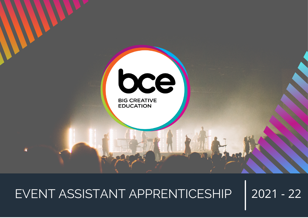

# EVENT ASSISTANT APPRENTICESHIP | 2021 - 22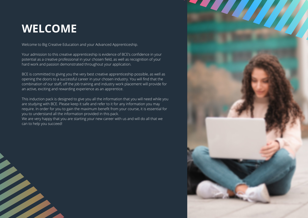# **WELCOME**

Welcome to Big Creative Education and your Advanced Apprenticeship.

Your admission to this creative apprenticeship is evidence of BCE's confidence in your potential as a creative professional in your chosen field, as well as recognition of your hard work and passion demonstrated throughout your application.

BCE is committed to giving you the very best creative apprenticeship possible, as well as opening the doors to a successful career in your chosen industry. You will find that the combination of our staff, off the job training and industry work placement will provide for an active, exciting and rewarding experience as an apprentice.

This induction pack is designed to give you all the information that you will need while you are studying with BCE. Please keep it safe and refer to it for any information you may require. In order for you to gain the maximum benefit from your course, it is essential for you to understand all the information provided in this pack. We are very happy that you are starting your new career with us and will do all that we can to help you succeed!

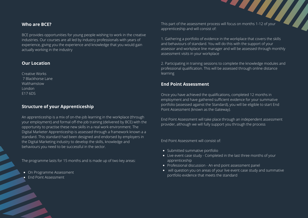# **Who are BCE?**

BCE provides opportunities for young people wishing to work in the creative industries. Our courses are all led by industry professionals with years of experience, giving you the experience and knowledge that you would gain actually working in the industry

# **Our Location**

Creative Works 7 Blackhorse Lane **Walthamstow** London E17 6DS

# **Structure of your Apprenticeship**

An apprenticeship is a mix of on-the-job learning in the workplace (through your employment) and formal off-the-job training (delivered by BCE) with the opportunity to practise these new skills in a real work environment. The Digital Marketer Apprenticeship is assessed through a framework known a a standard. This standard had been designed and endorsed by employers in the Digital Marketing industry to develop the skills, knowledge and behaviours you need to be successful in the sector.

The programme lasts for 15 months and is made up of two key areas:

- **.** On Programme Assessment
- **•** End Point Assessment

This part of the assessment process will focus on months 1-12 of your apprenticeship and will consist of:

1. Gathering a portfolio of evidence in the workplace that covers the skills and behaviours of standard. You will do this with the support of your assessor and workplace line manager and will be assessed through monthly assessment visits in your workplace

2. Participating in training sessions to complete the knowledge modules and professional qualification. This will be assessed through online distance learning

# **End Point Assessment**

Once you have achieved the qualifications, completed 12 months in employment and have gathered sufficient evidence for your summative portfolio (assessed against the Standard), you will be eligible to start End Point Assessment (known as the Gateway).

End Point Assessment will take place through an independent assessment provider, although we will fully support you through the process

End Point Assessment will consist of:

- Submitted summative portfolio
- Live event case study Completed in the last three months of your apprenticeship
- Professional discussion An end point assessment panel
- will question you on areas of your live event case study and summative portfolio evidence that meets the standard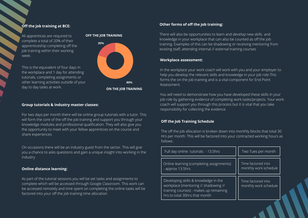# **Off the job training at BCE:**

All apprentices are required to complete a total of 20% of their apprenticeship completing off the job training within their working week.

This is the equivalent of four days in the workplace and 1 day for attending tutorials, completing assignments or other learning activities outside of your day to day tasks at work.

#### **OFF THE JOB TRAINING**

![](_page_3_Figure_4.jpeg)

#### **Group tutorials & Industry master classes:**

For two days per month there will be online group tutorials with a tutor. This will form the core of the off the job training and support you through your knowledge modules and professional qualification. They will also give you the opportunity to meet with your fellow apprentices on the course and share experiences

On occasions there will be an industry guest from the sector. This will give you a chance to asks questions and gain a unique insight into working in the industry

#### **Online distance learning:**

As part of the tutorial sessions you will be set tasks and assignments to complete which will be accessed through Google Classroom. This work can be accessed remotely and time spent on completing the online tasks will be factored into your off the job training time allocation

# **Other forms of off the job training:**

There will also be opportunities to learn and develop new skills and knowledge in your workplace that can also be counted as off the job training. Examples of this can be shadowing or receiving mentoring from existing staff, attending internal // external training courses

#### **Workplace assessment:**

In the workplace your work coach will work with you and your employer to help you develop the relevant skills and knowledge in your job role.This forms the on the job training and is a vital component for End Point Assessment.

You will need to demonstrate how you have developed these skills in your job role by gathering evidence of completing work tasks/projects. Your work coach will support you through this process but it is vital that you take responsibility for collecting the evidence

#### **Off the Job Training Schedule**

The off the job allocation is broken down into monthly blocks that total 30 Hrs per month. This will be factored into your contracted working hours as follows:

| Full day online tutorials - 13.5hrs                                                                                                                     | Two Tues per month                          |
|---------------------------------------------------------------------------------------------------------------------------------------------------------|---------------------------------------------|
| Online learning (completing assignments)<br>- approx 13.5hrs                                                                                            | Time factored into<br>monthly work schedule |
| Developing skills & knowledge in the<br>workplace (mentoring // shadowing //<br>training courses) - makes up remaining<br>hrs to total 30hrs that month | Time factored into<br>monthly work schedule |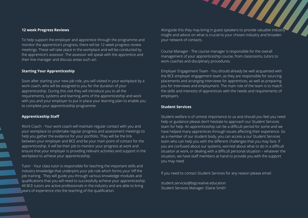#### **12 week Progress Reviews**

To help support the employer and apprentice through the programme and monitor the apprentice's progress, there will be 12-week progress review meetings. These will take place in the workplace and will be conducted by the apprentice's assessor. The assessor will speak with the apprentice and their line manager and discuss areas such as\

# **Starting Your Apprenticeship**

Soon after starting your new job role, you will visited in your workplace by a work coach, who will be assigned to you for the duration of your apprenticeship. During this visit they will introduce you to all the requirements, systems and learning aims of the apprenticeship and work with you and your employer to put in place your learning plan to enable you to complete your apprenticeship programme.

#### **Apprenticeship Staff**

Work Coach - Your work coach will maintain regular contact with you and your workplace to undertake regular progress and assessment meetings to help you gather the evidence for your portfolio. They will be the link between your employer and BCE and be your main point of contact for the apprenticeship. It will be their job to monitor your progress at work and ensure that your employer is providing relevant activities and support in the workplace to achieve your apprenticeship.

Tutor - Your class tutor is responsible for teaching the important skills and industry knowledge that underpins your job role which forms your 'off the job training. They will guide you through various knowledge modules and qualifications that you will need to successfully achieve your apprenticeship. All BCE tutors are active professionals in the industry and are able to bring years of experience into the teaching of the qualification.

Alongside this they may bring in guest speakers to provide valuable industry insight and advice on what is crucial to your chosen industry and broaden your network of contacts.

Course Manager - The course manager is responsible for the overall management of your apprenticeship course, from classrooms, tutors to work coaches and disciplinary procedures.

Employer Engagement Team - You should already be well acquainted with the BCE employer engagement team, as they are responsible for sourcing placements and arranging interviews for apprentices, as well as preparing you for interviews and employment. The main role of the team is to match the skills and interests of apprentices with the needs and requirements of employers.

#### **Student Services**

Student welfare is of utmost importance to us and should you feel you need help or guidance please don't hesitate to approach our Student Services team for help. An apprenticeship can be a difficult period for some and we have helped many apprentices through issues affecting their experience. So as a member of our student body, you can access a our Student Services team who can help you with the different challenges that you may face. If you are confused about our systems, worried about what to do in a difficult situation at work, or dealing with a difficult personal situation – whatever the situation, we have staff members at hand to provide you with the support you may need

If you need to contact Student Services for any reason please email:

student.services@bigcreative.education Student Services Manager: Elaine Smith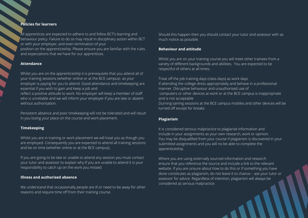#### **Policies for learners**

All apprentices are expected to adhere to and follow BCT's learning and behaviour policy. Failure to do so may result in disciplinary action within BCT or with your employer, and even termination of your

position on the apprenticeship. Please ensure you are familiar with the rules and expectations that we have for our apprentices.

#### **Attendance**

Whilst you are on the apprenticeship it is prerequisite that you attend all of your training sessions (whether online or at the BCE campus) as your employer is paying for you to attend. Good attendance and timekeeping are essential if you wish to gain and keep a job and

reflect a positive attitude to work. No employer will keep a member of staff who is unreliable and we will inform your employer if you are late or absent without authorisation.

Persistent absence and poor timekeeping will not be tolerated and will result in you losing your place on the course and work placement.

# **Timekeeping**

Whilst you are in training or work placement we will treat you as though you are employed. Consequently you are expected to attend all training sessions and be on time (whether online or at the BCE campus).

If you are going to be late or unable to attend any session you must contact your tutor and assessor to explain why.If you are unable to attend it is your responsibility to catch up on the work you missed

#### **Illness and authorised absence**

We understand that occassionally people are ill or need to be away for other reasons and require time off from their training course.

Should this happen then you should contact your tutor and assessor with as much notice as possible.

#### **Behaviour and attitude**

Whilst you are on your training course you will meet other trainees from a variety of different backgrounds and abilities. You are expected to be respectful of others at all times.

Treat off the job training days (class days) as work days If attending the college dress appropriately and behave in a professional manner. Disruptive behaviour and unauthorised use of computers or other devices at work or at the BCE campus is inappropriate and is not acceptable Durning taining sessions at the BCE campus mobiles and other devices will be turned off except for breaks

#### **Plagiarism**

It is considered serious malpractice to plagiarise information and include in your assignments as your own research, work or opinion. You may be disqualified from your course if plagiarism is discovered in your submitted assignments and you will no be able to complete the apprenticeship.

Where you are using externally sourced information and research ensure that you reference the source and include a link to the relevant website. If you are unsure about how to do this or if something you have done constitutes as plagiarism, do not leave it to chance – ask your tutor or assessor for advice. Regardless of intention, plagiarism will always be considered as serious malpractice.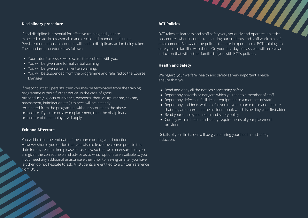# **Disciplinary procedure**

Good discipline is essential for effective training and you are expected to act in a reasonable and disciplined manner at all times. Persistent or serious misconduct will lead to disciplinary action being taken. The standard procedure is as follows:

- Your tutor / assessor will discuss the problem with you.
- You will be given one formal verbal warning.
- You will be given a formal written warning.
- You will be suspended from the programme and referred to the Course Manager.

If misconduct still persists, then you may be terminated from the training programme without further notice. In the case of gross misconduct (e.g. acts of violence, weapons, theft, drugs, racism, sexism, harassment, intimidation etc.) trainees will be instantly terminated from the programme without recourse to the above procedure. If you are on a work placement, then the disciplinary procedure of the employer will apply.

# **Exit and Aftercare**

You will be told the end date of the course during your induction. However should you decide that you wish to leave the course prior to this date for any reason then please let us know so that we can ensure that you are given the correct help and advice as to what options are available to you If you need any additional assistance either prior to leaving or after you have left then do not hesitate to ask. All students are entitled to a written reference from BCT.

# **BCT Policies**

BCT Policies<br>BCT takes its learners and staff safety very seriously and operates on strict procedures when it comes to ensuring our students and staff work in a safe environment. Below are the policies that are in operation at BCT training, en sure you are familiar with them. On your first day of class you will receive an induction that will further familiarise you with BCT's policies.

# **Health and Safety**

We regard your welfare, health and safety as very important. Please ensure that you:

- Read and obey all the notices concerning safety
- Report any hazards or dangers which you see to a member of staff
- Report any defects in facilities or equipment to a member of staff
- Report any accidents which befall you to your course tutor and ensure that they are entered in the accident book which is held by your first aider
- Read your employers health and safety policy
- Comply with all health and safety requirements of your placement provider

Details of your first aider will be given during your health and safety induction.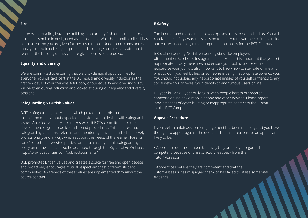# **Fire**

In the event of a fire, leave the building in an orderly fashion by the nearest exit and assemble in designated assembly point. Wait there until a roll call has been taken and you are given further instructions. Under no circumstances must you stop to collect your personal belongings or make any attempt to re-enter the building unless you are given permission to do so.

# **Equality and diversity**

We are committed to ensuring that we provide equal opportunities for everyone. You will take part in the BCT equal and diversity induction in the first few days of your training. A full copy of our equality and diversity policy will be given during induction and looked at during our equality and diversity sessions.

# **Safeguarding & British Values**

BCE's safeguarding policy is one which provides clear direction to staff and others about expected behaviour when dealing with safeguarding issues. An effective policy also makes explicit BCT's commitment to the development of good practice and sound procedures. This ensures that safeguarding concerns, referrals and monitoring may be handled sensitively, professionally and in ways which support the needs of the learner. Parents, carer's or other interested parties can obtain a copy of this safeguarding policy on request. It can also be accessed through the Big Creative Website: http://www.bcepolicies.com/public-documents/

BCE promotes British Values and creates a space for free and open debate and proactively encourages mutual respect amongst different student communities. Awareness of these values are implemented throughout the course content.

# **E-Safety**

The internet and mobile technology exposes users to potential risks. You will receive an e-safety awareness session to raise your awareness of these risks and you will need to sign the acceptable user policy for the BCT Campus.

i) Social networking: Social Networking sites, like employers often monitor Facebook, Instagram and Linked In, it is important that you set appropriate privacy measures and ensure your public profile will not jeopardise your job. It is also important to know how to stay safe online and what to do if you feel bullied or someone is being inappropriate towards you. You should not upload any inappropriate images of yourself or friends to any social networks or reveal your identity to anonymous users online.

ii) Cyber bullying: Cyber bullying is when people harass or threaten someone online or via mobile phone and other devices. Please report any instances of cyber bullying or inappropriate contact to the IT staff at the BCT Campus

#### **Appeals Procedure**

If you feel an unfair assessment judgement has been made against you have the right to appeal against the decision. The main reasons for an appeal are likely to be:

• Apprentice does not understand why they are not yet regarded as competent, because of unsatisfactory feedback from the Tutor/ Assessor

• Apprentices believe they are competent and that the Tutor/ Assessor has misjudged them, or has failed to utilise some vital evidence